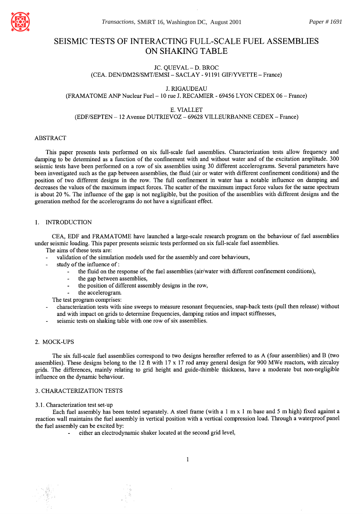

# **SEISMIC TESTS OF INTERACTING FULL-SCALE FUEL ASSEMBLIES ON SHAKING TABLE**

# JC. QUEVAL- D. BROC (CEA. DEN/DM2S/SMT/EMSI - SACLAY - 91191 GIF/YVETTE - France)

J. RIGAUDEAU (FRAMATOME ANP Nuclear Fuel- I 0 rue J. RECAMIER - 69456 LYON CEDEX 06 - France)

# E. VIALLET

(EDF/SEPTEN- 12 Avenue DUTRIEVOZ- 69628 VILLEURBANNE CEDEX- France)

### ABSTRACT

This paper presents tests performed on six full-scale fuel assemblies. Characterization tests allow frequency and damping to be determined as a function of the confinement with and without water and of the excitation amplitude. 300 seismic tests have been performed on a row of six assemblies using 30 different accelerograms. Several parameters have been investigated such as the gap between assemblies, the fluid (air or water with different confinement conditions) and the position of two different designs in the row. The full confinement in water has a notable influence on damping and decreases the values of the maximum impact forces. The scatter of the maximum impact force values for the same spectrum is about 20 %. The influence of the gap is not negligible, but the position of the assemblies with different designs and the generation method for the accelerograms do not have a significant effect.

# 1. INTRODUCTION

CEA, EDF and FRAMATOME have launched a large-scale research program on the behaviour of fuel assemblies under seismic loading. This paper presents seismic tests performed on six full-scale fuel assemblies.

The aims of these tests are:

- validation of the simulation models used for the assembly and core behaviours,
- study of the influence of:
	- the fluid on the response of the fuel assemblies (air/water with different confinement conditions),
	- the gap between assemblies,
	- the position of different assembly designs in the row,
	- the accelerogram.

The test program comprises:

- characterization tests with sine sweeps to measure resonant frequencies, snap-back tests (pull then release) without and with impact on grids to determine frequencies, damping ratios and impact stiffnesses,
- seismic tests on shaking table with one row of six assemblies.

# 2. MOCK-UPS

The six full-scale fuel assemblies correspond to two designs hereafter referred to as A (four assemblies) and B (two assemblies). These designs belong to the 12 ft with 17 x 17 rod array general design for 900 MWe reactors, with zircaloy grids. The differences, mainly relating to grid height and guide-thimble thickness, have a moderate but non-negligible influence on the dynamic behaviour.

### 3. CHARACTERIZATION TESTS

#### 3.1. Characterization test set-up

Each fuel assembly has been tested separately. A steel frame (with a  $1 \text{ m} \times 1 \text{ m}$  base and 5 m high) fixed against a reaction wall maintains the fuel assembly in vertical position with a vertical compression load. Through a waterproof panel the fuel assembly can be excited by:

either an electrodynamic shaker located at the second grid level,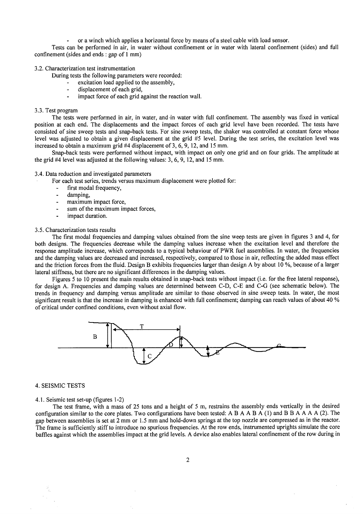or a winch which applies a horizontal force by means of a steel cable with load sensor.

Tests can be performed in air, in water without confinement or in water with lateral confinement (sides) and full confinement (sides and ends : gap of 1 mm)

# 3.2. Characterization test instrumentation

During tests the following parameters were recorded:

- excitation load applied to the assembly,
- displacement of each grid,
- impact force of each grid against the reaction wall.

#### 3.3. Test program

The tests were performed in air, in water, and.in water with full confinement. The assembly was fixed in vertical position at each end. The displacements and the impact forces of each grid level have been recorded. The tests have consisted of sine sweep tests and snap-back tests. For sine sweep tests, the shaker was controlled at constant force whose level was adjusted to obtain a given displacement at the grid #5 level. During the test series, the excitation level was increased to obtain a maximum grid #4 displacement of 3, 6, 9, 12, and 15 mm.

Snap-back tests were performed without impact, with impact on only one grid and on four grids. The amplitude at the grid #4 level was adjusted at the following values: 3, 6, 9, 12, and 15 mm.

#### 3.4. Data reduction and investigated parameters

For each test series, trends versus maximum displacement were plotted for:

- first modal frequency,
- damping,
- maximum impact force,
- sum of the maximum impact forces,
- impact duration.

#### 3.5. Characterization tests results

The first modal frequencies and damping values obtained from the sine weep tests are given in figures 3 and 4, for both designs. The frequencies decrease while the damping values increase when the excitation level and therefore the response amplitude increase, which corresponds to a typical behaviour of PWR fuel assemblies. In water, the frequencies and the damping values are decreased and increased, respectively, compared to those in air, reflecting the added mass effect and the friction forces from the fluid. Design B exhibits frequencies larger than design A by about 10 %, because of a larger lateral stiffness, but there are no significant differences in the damping values.

Figures 5 to 10 present the main results obtained in snap-back tests without impact (i.e. for the free lateral response), for design A. Frequencies and damping values are determined between C-D, C-E and C-G (see schematic below). The trends in frequency and damping versus amplitude are similar to those observed in sine sweep tests. In water, the most significant result is that the increase in damping is enhanced with full confinement; damping can reach values of about 40 % of critical under confined conditions, even without axial flow.



#### 4. SEISMIC TESTS

#### 4.1. Seismic test set-up (figures 1-2)

The test frame, with a mass of 25 tons and a height of 5 m, restrains the assembly ends vertically in the desired configuration similar to the core plates. Two configurations have been tested: A B A A B A (1) and B B A A A A (2). The gap between assemblies is set at 2 mm or 1.5 mm and hold-down springs at the top nozzle are compressed as in the reactor. The frame is sufficiently stiff to introduce no spurious frequencies. At the row ends, instrumented uprights simulate the core baffles against which the assemblies impact at the grid levels. A device also enables lateral confinement of the row during in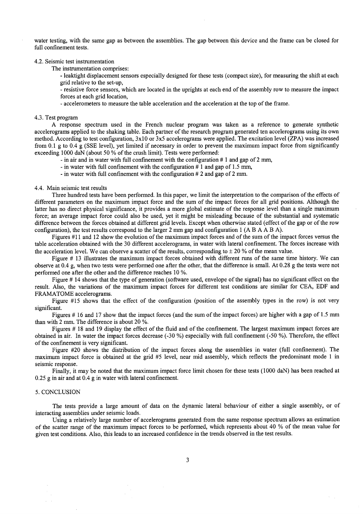water testing, with the same gap as between the assemblies. The gap between this device and the frame can be closed for full confinement tests.

#### 4.2. Seismic test instrumentation

The instrumentation comprises:

- leaktight displacement sensors especially designed for these tests (compact size), for measuring the shift at each grid relative to the set-up,

- resistive force sensors, which are located in the uprights at each end of the assembly row to measure the impact forces at each grid location,

**-** accelerometers to measure the table acceleration and the acceleration at the top of the frame.

#### 4.3. Test program

A response spectrum used in the French nuclear program was taken as a reference to generate synthetic accelerograms applied to the shaking table. Each partner of the research program generated ten accelerograms using its own method. According to test configuration, 3xl 0 or 3x5 accelerograms were applied. The excitation level (ZPA) was increased from 0.1 g to 0.4 g (SSE level), yet limited if necessary in order to prevent the maximum impact force from significantly exceeding 1000 daN (about 50 % of the crush limit). Tests were performed:

**-** in air and in water with full confinement with the configuration # 1 and gap of 2 mm,

**-** in water with full confinement with the configuration # 1 and gap of 1.5 mm,

**-** in water with full confinement with the configuration # 2 and gap of 2 mm.

#### 4.4. Main seismic test results

Three hundred tests have been performed. In this paper, we limit the interpretation to the comparison of the effects of different parameters on the maximum impact force and the sum of the impact forces for all grid positions. Although the latter has no direct physical significance, it provides a more global estimate of the response level than a single maximum force; an average impact force could also be used, yet it might be misleading because of the substantial and systematic difference between the forces obtained at different grid levels. Except when otherwise stated (effect of the gap or of the row configuration), the test results correspond to the larger 2 mm gap and configuration 1 (A B A A B A).

Figures #11 and 12 show the evolution of the maximum impact forces and of the sum of the impact forces versus the table acceleration obtained with the 30 different accelerograms, in water with lateral confinement. The forces increase with the acceleration level. We can observe a scatter of the results, corresponding to  $\pm$  20 % of the mean value.

Figure # 13 illustrates the maximum impact forces obtained with different runs of the same time history. We can observe at 0.4 g, when two tests were performed one after the other, that the difference is small. At 0.28 g the tests were not performed one after the other and the difference reaches 10 %.

Figure # 14 shows that the type of generation (software used, envelope of the signal) has no significant effect on the result. Also, the variations of the maximum impact forces for different test conditions are similar for CEA, EDF and FRAMATOME accelerograms.

Figure #15 shows that the effect of the configuration (position of the assembly types in the row) is not very significant.

Figures # 16 and 17 show that the impact forces (and the sum of the impact forces) are higher with a gap of 1.5 mm than with 2 mm. The difference is about 20 %.

Figures # 18 and 19 display the effect of the fluid and of the confinement. The largest maximum impact forces are obtained in air. In water the impact forces decrease (-30 %) especially with full confinement (-50 %). Therefore, the effect of the confinement is very significant.

Figure #20 shows the distribution of the impact forces along the assemblies in water (full confinement). The maximum impact force is obtained at the grid #5 level, near mid assembly, which reflects the predominant mode 1 in seismic response.

Finally, it may be noted that the maximum impact force limit chosen for these tests (1000 daN) has been reached at 0.25 g in air and at 0.4 g in water with lateral confinement.

### 5. CONCLUSION

The tests provide a large amount of data on the dynamic lateral behaviour of either a single assembly, or of interacting assemblies under seismic loads.

Using a relatively large number of accelerograms generated from the same response spectrum allows an estimation of the scatter range of the maximum impact forces to be performed, which represents about 40 % of the mean value for given test conditions. Also, this leads to an increased confidence in the trends observed in the test results.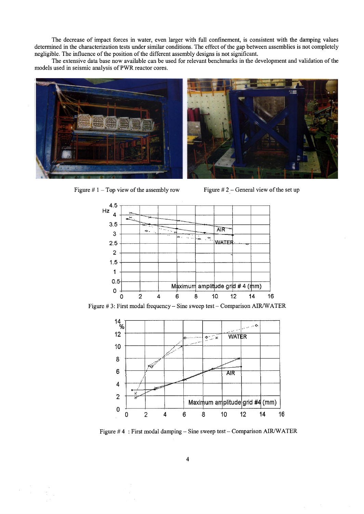The decrease of impact forces in water, even larger with full confinement, is consistent with the damping values determined in the characterization tests under similar conditions. The effect of the gap between assemblies is not completely negligible. The influence of the position of the different assembly designs is not significant.

The extensive data base now available can be used for relevant benchmarks in the development and validation of the models used in seismic analysis of PWR reactor cores.



Figure  $# 1$  – Top view of the assembly row



Figure  $# 2$  – General view of the set up



Figure #3: First modal frequency - Sine sweep test - Comparison AIR/WATER



Figure #4: First modal damping - Sine sweep test - Comparison AIR/WATER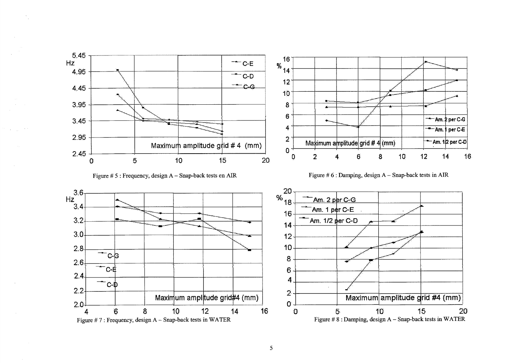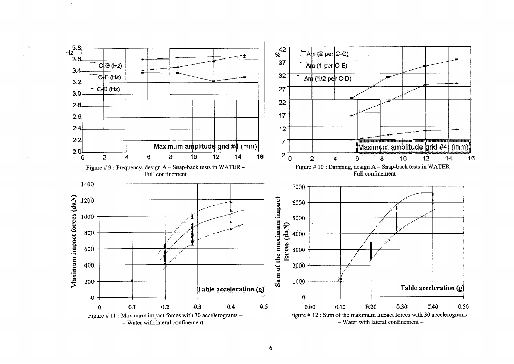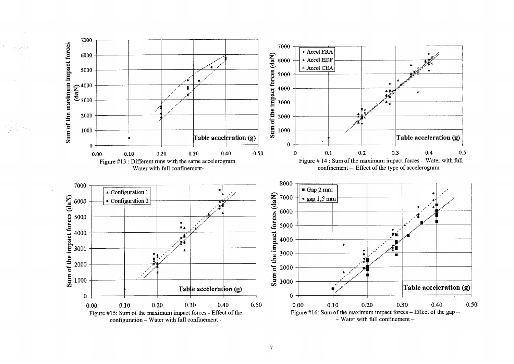